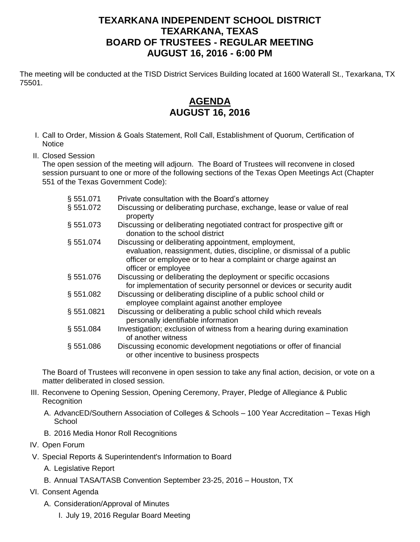## **TEXARKANA INDEPENDENT SCHOOL DISTRICT TEXARKANA, TEXAS BOARD OF TRUSTEES - REGULAR MEETING AUGUST 16, 2016 - 6:00 PM**

The meeting will be conducted at the TISD District Services Building located at 1600 Waterall St., Texarkana, TX 75501.

## **AGENDA AUGUST 16, 2016**

- I. Call to Order, Mission & Goals Statement, Roll Call, Establishment of Quorum, Certification of **Notice**
- II. Closed Session

The open session of the meeting will adjourn. The Board of Trustees will reconvene in closed session pursuant to one or more of the following sections of the Texas Open Meetings Act (Chapter 551 of the Texas Government Code):

| § 551.071  | Private consultation with the Board's attorney                                                                                                                   |
|------------|------------------------------------------------------------------------------------------------------------------------------------------------------------------|
| § 551.072  | Discussing or deliberating purchase, exchange, lease or value of real<br>property                                                                                |
| § 551.073  | Discussing or deliberating negotiated contract for prospective gift or<br>donation to the school district                                                        |
| § 551.074  | Discussing or deliberating appointment, employment,                                                                                                              |
|            | evaluation, reassignment, duties, discipline, or dismissal of a public<br>officer or employee or to hear a complaint or charge against an<br>officer or employee |
| § 551.076  | Discussing or deliberating the deployment or specific occasions<br>for implementation of security personnel or devices or security audit                         |
| § 551.082  | Discussing or deliberating discipline of a public school child or<br>employee complaint against another employee                                                 |
| § 551.0821 | Discussing or deliberating a public school child which reveals<br>personally identifiable information                                                            |
| § 551.084  | Investigation; exclusion of witness from a hearing during examination<br>of another witness                                                                      |
| § 551.086  | Discussing economic development negotiations or offer of financial<br>or other incentive to business prospects                                                   |

The Board of Trustees will reconvene in open session to take any final action, decision, or vote on a matter deliberated in closed session.

- III. Reconvene to Opening Session, Opening Ceremony, Prayer, Pledge of Allegiance & Public Recognition
	- A. AdvancED/Southern Association of Colleges & Schools 100 Year Accreditation Texas High **School**
	- B. 2016 Media Honor Roll Recognitions
- IV. Open Forum
- V. Special Reports & Superintendent's Information to Board
	- A. Legislative Report
	- B. Annual TASA/TASB Convention September 23-25, 2016 Houston, TX
- VI. Consent Agenda
	- A. Consideration/Approval of Minutes
		- I. July 19, 2016 Regular Board Meeting